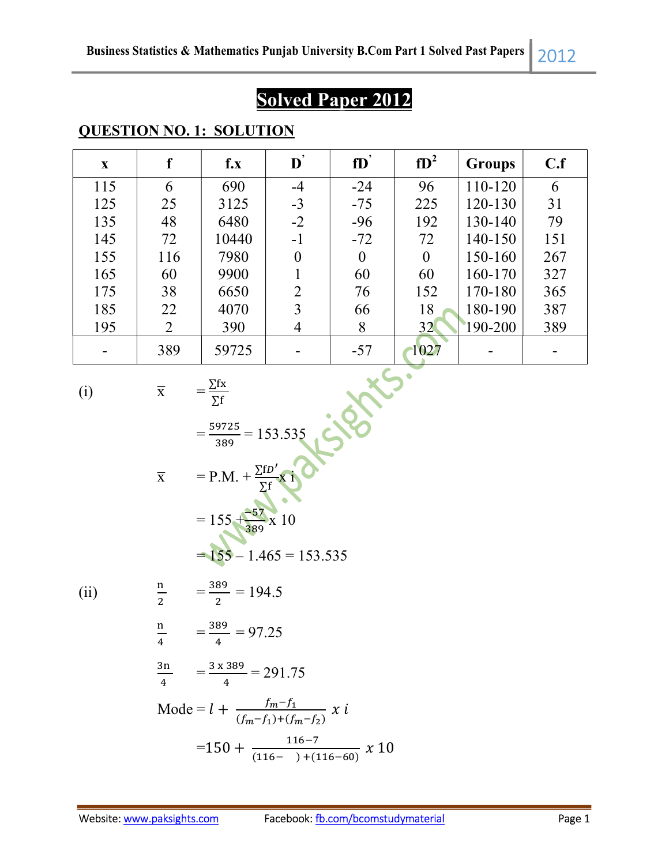# Solved Paper 2012

| X   | f              | $f_{\boldsymbol{\cdot}}\mathbf{x}$ | $\mathbf{D}^{'}$ | fD       | $fD^2$   | <b>Groups</b> | C.f |
|-----|----------------|------------------------------------|------------------|----------|----------|---------------|-----|
| 115 | 6              | 690                                | $-4$             | $-24$    | 96       | 110-120       | 6   |
| 125 | 25             | 3125                               | $-3$             | $-75$    | 225      | 120-130       | 31  |
| 135 | 48             | 6480                               | $-2$             | $-96$    | 192      | 130-140       | 79  |
| 145 | 72             | 10440                              | $-1$             | $-72$    | 72       | 140-150       | 151 |
| 155 | 116            | 7980                               | $\theta$         | $\theta$ | $\theta$ | 150-160       | 267 |
| 165 | 60             | 9900                               |                  | 60       | 60       | 160-170       | 327 |
| 175 | 38             | 6650                               | $\overline{2}$   | 76       | 152      | 170-180       | 365 |
| 185 | 22             | 4070                               | 3                | 66       | 18       | 180-190       | 387 |
| 195 | $\overline{2}$ | 390                                | 4                | 8        | 32       | 190-200       | 389 |
|     | 389            | 59725                              |                  | $-57$    | 1027     |               |     |

#### QUESTION NO. 1: SOLUTION

$$
(i)
$$

(i)  $\overline{X} = \frac{\sum fx}{\sum fr}$ 

∑

$$
\mathbf{v} \in
$$

(i) 
$$
\overline{x}
$$
 =  $\frac{\sum fx}{\sum f}$   
\n=  $\frac{59725}{389}$  = 153.535  
\n $\overline{x}$  = P.M. +  $\frac{\sum fD'}{ \sum f}$  x 1  
\n= 155 +  $\frac{55}{389}$  x 10  
\n= 155 - 1.465 = 153.535

 $(ii)$ 

$$
\frac{n}{2} = \frac{389}{2} = 194.5
$$

$$
\frac{n}{4} = \frac{389}{4} = 97.25
$$

$$
\frac{3n}{4} = \frac{3 \times 389}{4} = 291.75
$$

Mode = 
$$
l + \frac{f_m - f_1}{(f_m - f_1) + (f_m - f_2)} x i
$$
  
=  $150 + \frac{116 - 7}{(116 - 1) + (116 - 60)} x 10$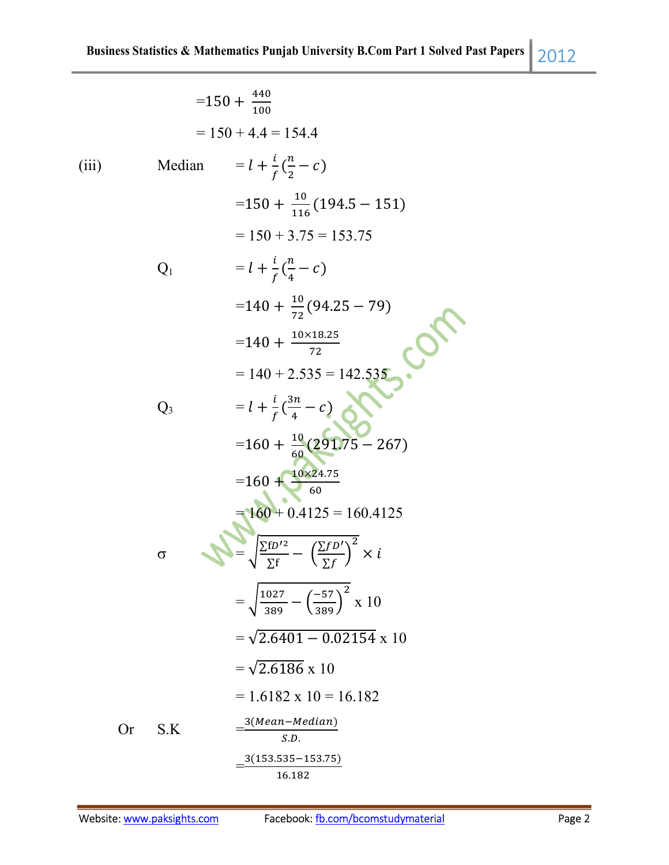|       |          | $=150 + \frac{440}{100}$                                                               |
|-------|----------|----------------------------------------------------------------------------------------|
|       |          | $= 150 + 4.4 = 154.4$                                                                  |
| (iii) | Median   | $= l + \frac{l}{f}(\frac{n}{2} - c)$                                                   |
|       |          | $=$ 150 + $\frac{10}{116}$ (194.5 – 151)                                               |
|       |          | $= 150 + 3.75 = 153.75$                                                                |
|       | $Q_1$    | $= l + \frac{l}{f}(\frac{n}{4} - c)$                                                   |
|       |          | $=140+\frac{10}{72}(94.25-79)$                                                         |
|       |          | $=$ 140 + $\frac{10\times18.25}{72}$                                                   |
|       |          | $= 140 + 2.535 = 142.535$                                                              |
|       | $Q_3$    | $= l + \frac{i}{f}(\frac{3n}{4} - c)$                                                  |
|       |          | $=160 + \frac{10}{60}(29175 - 267)$                                                    |
|       |          | $=160 + \frac{10 \times 24.75}{60}$                                                    |
|       |          | $= 160 + 0.4125 = 160.4125$                                                            |
|       | $\sigma$ | $= \sqrt{\frac{\sum fD'^2}{\sum f}} - \left(\frac{\sum fD'}{\sum f}\right)^2 \times i$ |
|       |          | $=\sqrt{\frac{1027}{389}-\left(\frac{-57}{389}\right)^2} \times 10$                    |
|       |          | $=\sqrt{2.6401 - 0.02154} \times 10$                                                   |
|       |          | $=\sqrt{2.6186} \times 10$                                                             |
|       |          | $= 1.6182 \times 10 = 16.182$                                                          |
| Or    | S.K      | 3(Mean–Median)<br>S.D.                                                                 |
|       |          | $\frac{3(153.535 - 153.75)}{2}$                                                        |
|       |          |                                                                                        |

 $16.182$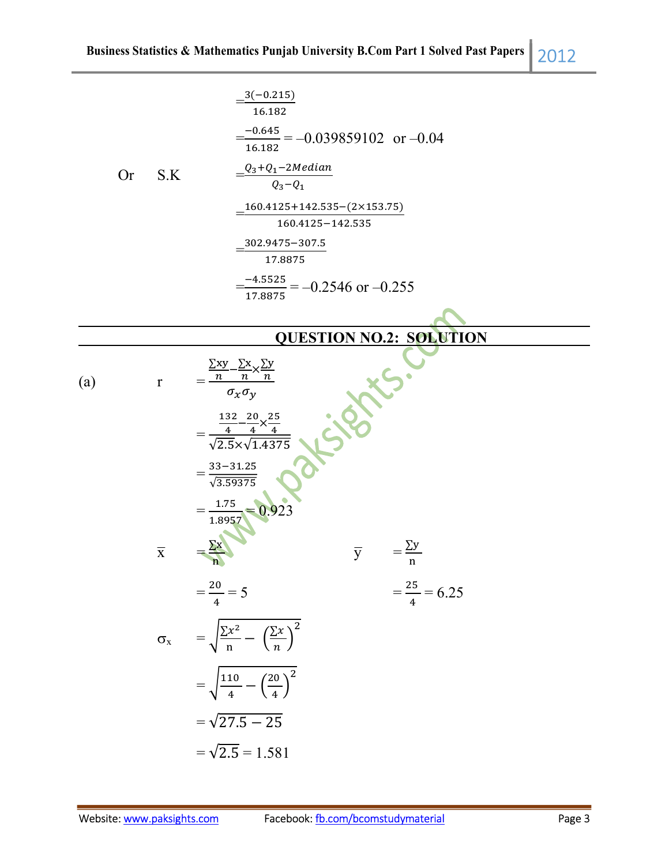|  | P.  |  |
|--|-----|--|
|  | ___ |  |
|  |     |  |

|                  |           |                         | $3(-0.215)$<br>16.182                                                                   |                                                              |                          |  |
|------------------|-----------|-------------------------|-----------------------------------------------------------------------------------------|--------------------------------------------------------------|--------------------------|--|
|                  |           |                         |                                                                                         | $\frac{-0.645}{16.182}$ = -0.039859102 or -0.04              |                          |  |
|                  | <b>Or</b> | S.K                     | $\underline{\phantom{a}} Q_3 + Q_1 - 2Median$<br>$Q_3 - Q_1$                            |                                                              |                          |  |
|                  |           |                         |                                                                                         | $160.4125 + 142.535 - (2 \times 153.75)$<br>160.4125-142.535 |                          |  |
|                  |           |                         | 302.9475-307.5<br>17.8875                                                               |                                                              |                          |  |
|                  |           |                         | 17.8875                                                                                 | $\frac{-4.5525}{-2}$ = -0.2546 or -0.255                     |                          |  |
|                  |           |                         |                                                                                         |                                                              |                          |  |
|                  |           |                         |                                                                                         | <b>QUESTION NO.2: SOLUTION</b>                               |                          |  |
| $\left(a\right)$ |           | $\mathbf r$             | $\frac{\sum xy - \sum x}{n} \times \frac{\sum y}{n}}{\sigma_x \sigma_y}$                |                                                              |                          |  |
|                  |           |                         | $\frac{132}{4} - \frac{20}{4} \times \frac{25}{4}$<br>$\sqrt{2.5} \times \sqrt{1.4375}$ |                                                              |                          |  |
|                  |           |                         | $=\frac{33-31.25}{\sqrt{3.59375}}$                                                      |                                                              |                          |  |
|                  |           |                         | $\frac{1.75}{1.8957}$                                                                   |                                                              | $=\frac{\sum y}{\sum y}$ |  |
|                  |           | $\overline{\textbf{X}}$ |                                                                                         | $\overline{y}$                                               | n                        |  |
|                  |           |                         | $=\frac{20}{4}=5$                                                                       |                                                              | $=\frac{25}{4}=6.25$     |  |
|                  |           |                         | $\sigma_x = \sqrt{\frac{\sum x^2}{n} - (\frac{\sum x}{n})^2}$                           |                                                              |                          |  |
|                  |           |                         | $= \sqrt{\frac{110}{4} - \left(\frac{20}{4}\right)^2}$                                  |                                                              |                          |  |
|                  |           |                         | $=\sqrt{27.5 - 25}$                                                                     |                                                              |                          |  |
|                  |           |                         | $=\sqrt{2.5} = 1.581$                                                                   |                                                              |                          |  |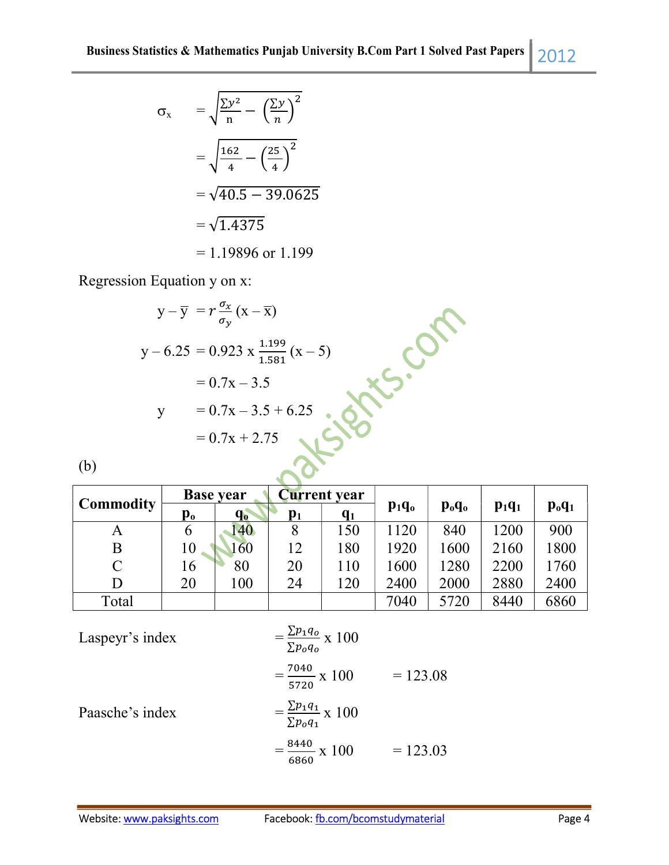$$
\sigma_x = \sqrt{\frac{\Sigma y^2}{n} - \left(\frac{\Sigma y}{n}\right)^2}
$$

$$
= \sqrt{\frac{162}{4} - \left(\frac{25}{4}\right)^2}
$$

$$
= \sqrt{40.5 - 39.0625}
$$

$$
= \sqrt{1.4375}
$$

$$
= 1.19896 \text{ or } 1.199
$$

Regression Equation y on x:

$$
y - \overline{y} = r \frac{\sigma_x}{\sigma_y} (x - \overline{x})
$$
  
\n
$$
y - 6.25 = 0.923 \times \frac{1.199}{1.581} (x - 5)
$$
  
\n
$$
= 0.7x - 3.5
$$
  
\n
$$
y = 0.7x - 3.5 + 6.25
$$
  
\n
$$
= 0.7x + 2.75
$$
  
\n(b)

(b)

|                  | <b>Base year</b> |         | <b>Current</b> year |       |          |                                |          |          |
|------------------|------------------|---------|---------------------|-------|----------|--------------------------------|----------|----------|
| <b>Commodity</b> | $\mathbf{p_o}$   | $q_{o}$ | $p_1$               | $q_1$ | $p_1q_0$ | $\mathbf{p}_{o}\mathbf{q}_{o}$ | $p_1q_1$ | $p_oq_1$ |
| А                |                  | 140     | 8                   | 150   | 1120     | 840                            | 1200     | 900      |
| B                | 10               | 160     | 12                  | 180   | 1920     | 1600                           | 2160     | 1800     |
| $\mathsf{C}$     | 16               | 80      | 20                  | 110   | 1600     | 1280                           | 2200     | 1760     |
| D                | 20               | 100     | 24                  | 120   | 2400     | 2000                           | 2880     | 2400     |
| Total            |                  |         |                     |       | 7040     | 5720                           | 8440     | 6860     |

Lasperyr's index  
\n
$$
= \frac{\sum p_1 q_0}{\sum p_0 q_0} \times 100
$$
\n
$$
= \frac{7040}{5720} \times 100 = 123.08
$$
\nPaasche's index  
\n
$$
= \frac{\sum p_1 q_1}{\sum p_0 q_1} \times 100
$$
\n
$$
= \frac{8440}{6860} \times 100 = 123.03
$$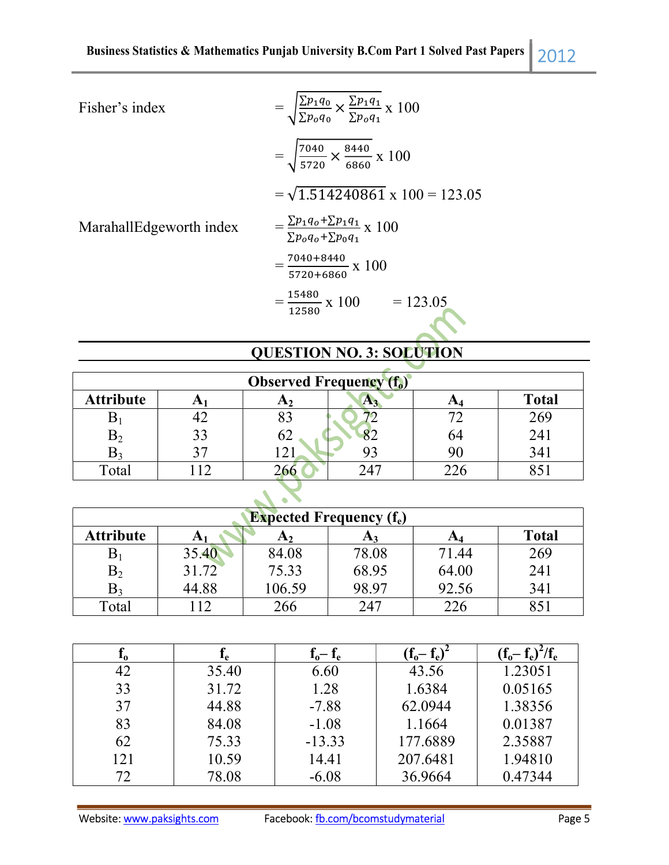Fisher's index

l

Fisher's index  
\n
$$
= \sqrt{\frac{\Sigma p_1 q_0}{\Sigma p_0 q_0}} \times \frac{\Sigma p_1 q_1}{\Sigma p_0 q_1} x \ 100
$$
\n
$$
= \sqrt{\frac{7040}{5720}} \times \frac{8440}{6860} x \ 100
$$
\n
$$
= \sqrt{1.514240861} x \ 100 = 123.05
$$
\n
$$
= \frac{\Sigma p_1 q_0 + \Sigma p_1 q_1}{\Sigma p_0 q_0 + \Sigma p_0 q_1} x \ 100
$$
\n
$$
= \frac{7040 + 8440}{5720 + 6860} x \ 100
$$
\n
$$
= \frac{15480}{12580} x \ 100 = 123.05
$$

MarahallEdgeworth index

## QUESTION NO. 3: SOLUTION

| <b>Observed Frequency (f<sub>o</sub>)</b> |    |       |      |    |              |  |
|-------------------------------------------|----|-------|------|----|--------------|--|
| <b>Attribute</b>                          |    | EX 7. | ЛY.  | cм | <b>Total</b> |  |
| D.                                        | ╉∠ | ပၪ    |      |    | 269          |  |
| $\mathbf{B}_2$                            | 33 | OΖ    |      | 64 | 241          |  |
| D٥                                        |    |       |      |    | 341          |  |
| Total                                     |    |       | າ 47 |    |              |  |

| <b>Expected Frequency <math>(f_e)</math></b>                                        |       |        |       |       |     |  |
|-------------------------------------------------------------------------------------|-------|--------|-------|-------|-----|--|
| <b>Attribute</b><br><b>Total</b><br>A <sub>4</sub><br>A <sub>2</sub><br>A1<br>$A_3$ |       |        |       |       |     |  |
| $\mathbf{p}_1$                                                                      | 35.40 | 84.08  | 78.08 | 71.44 | 269 |  |
| $\mathrm B_2$                                                                       | 31.72 | 75.33  | 68.95 | 64.00 | 241 |  |
| $\mathrm{B}_3$                                                                      | 44.88 | 106.59 | 98.97 | 92.56 | 341 |  |
| Total                                                                               |       | 266    | 247   | 226   | 851 |  |

| ΔO. | lρ    | $f_o - f_e$ | $(f_0 - f_e)$ | $(f_o - f_e)^2/f_e$ |
|-----|-------|-------------|---------------|---------------------|
| 42  | 35.40 | 6.60        | 43.56         | 1.23051             |
| 33  | 31.72 | 1.28        | 1.6384        | 0.05165             |
| 37  | 44.88 | $-7.88$     | 62.0944       | 1.38356             |
| 83  | 84.08 | $-1.08$     | 1.1664        | 0.01387             |
| 62  | 75.33 | $-13.33$    | 177.6889      | 2.35887             |
| 121 | 10.59 | 14.41       | 207.6481      | 1.94810             |
| 72  | 78.08 | $-6.08$     | 36.9664       | 0.47344             |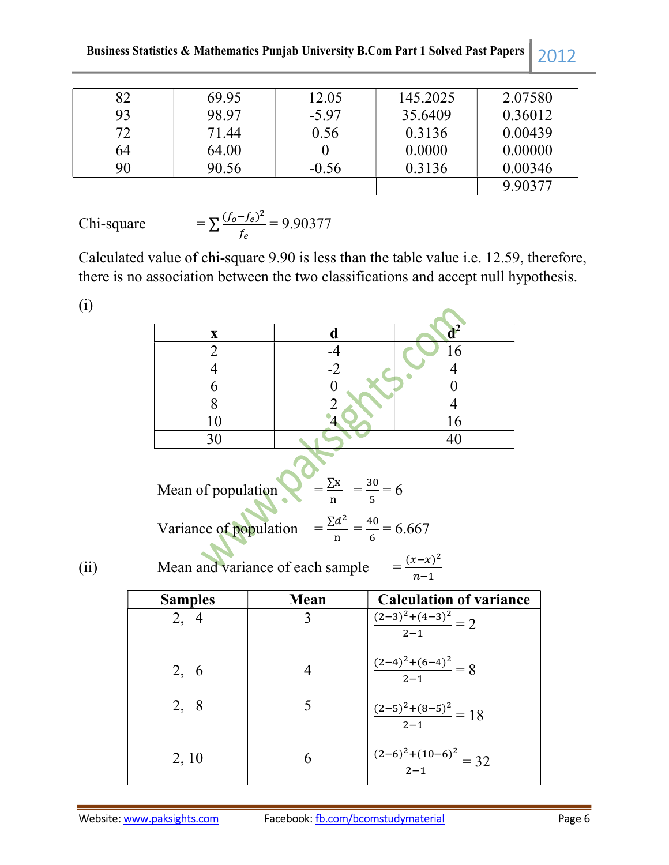Business Statistics & Mathematics Punjab University B.Com Part 1 Solved Past Papers 2012

| 82 | 69.95 | 12.05   | 145.2025 | 2.07580 |
|----|-------|---------|----------|---------|
| 93 | 98.97 | $-5.97$ | 35.6409  | 0.36012 |
| 72 | 71.44 | 0.56    | 0.3136   | 0.00439 |
| 64 | 64.00 |         | 0.0000   | 0.00000 |
| 90 | 90.56 | $-0.56$ | 0.3136   | 0.00346 |
|    |       |         |          | 9.90377 |

Chi-square 
$$
= \sum \frac{(f_o - f_e)^2}{f_e} = 9.90377
$$

Calculated value of chi-square 9.90 is less than the table value i.e. 12.59, therefore, there is no association between the two classifications and accept null hypothesis.

(i)

| W    |                    |                                                                                                                                                                            |                                      |
|------|--------------------|----------------------------------------------------------------------------------------------------------------------------------------------------------------------------|--------------------------------------|
|      | X                  | d                                                                                                                                                                          | $d^2$                                |
|      | $\overline{2}$     | $-4$                                                                                                                                                                       | 16                                   |
|      | $\overline{4}$     | $-2$                                                                                                                                                                       | $\overline{4}$                       |
|      | 6                  | $\overline{0}$                                                                                                                                                             | $\boldsymbol{0}$                     |
|      | 8                  | $\overline{2}$                                                                                                                                                             | $\overline{4}$                       |
|      | 10                 | 4                                                                                                                                                                          | 16                                   |
|      | 30                 |                                                                                                                                                                            | 40                                   |
| (ii) | Mean of population | $=\frac{\sum x}{n} = \frac{30}{5} = 6$<br>Variance of population = $\frac{\Sigma d^2}{n} = \frac{40}{6} = 6.667$<br>Mean and variance of each sample $= \frac{(x-x)^2}{x}$ |                                      |
|      | <b>Samples</b>     | Mean                                                                                                                                                                       | <b>Calculation of variance</b>       |
|      | 2, 4               | 3                                                                                                                                                                          | $\frac{(2-3)^2 + (4-3)^2}{2-1} = 2$  |
|      | 2, 6               | $\overline{4}$                                                                                                                                                             | $\frac{(2-4)^2+(6-4)^2}{2-1}=8$      |
|      | 2, 8               | 5                                                                                                                                                                          | $\frac{(2-5)^2 + (8-5)^2}{2-1} = 18$ |
|      | 2, 10              | 6                                                                                                                                                                          | $\frac{(2-6)^2+(10-6)^2}{2} = 32$    |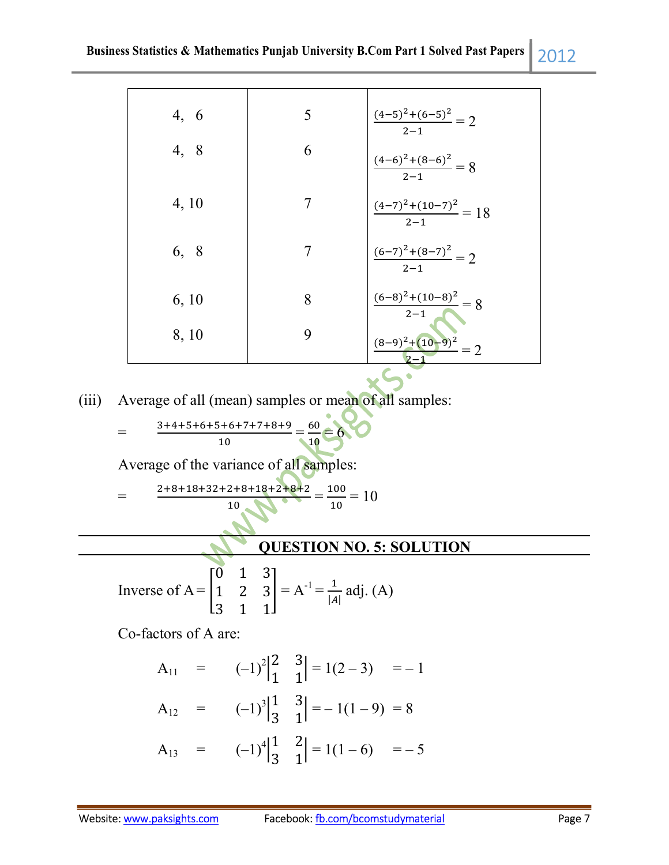| 4, 6  | 5 | $\frac{(4-5)^2+(6-5)^2}{2-1}=2$   |
|-------|---|-----------------------------------|
| 4, 8  | 6 | $\frac{(4-6)^2+(8-6)^2}{2-1}=8$   |
| 4, 10 | 7 | $\frac{(4-7)^2+(10-7)^2}{2-1}=18$ |
| 6, 8  | 7 | $\frac{(6-7)^2+(8-7)^2}{2-1}=2$   |
| 6, 10 | 8 | $\frac{(6-8)^2+(10-8)^2}{2-1}=8$  |
| 8, 10 | 9 | $\frac{(8-9)^2+(10-9)^2}{2}=2$    |

(iii) Average of all (mean) samples or mean of all samples:

$$
\frac{3+4+5+6+5+6+7+7+8+9}{10} = \frac{60}{10} = 6
$$

Average of the variance of all samples:

$$
= \frac{2+8+18+32+2+8+18+2+8+2}{10} = \frac{100}{10} = 10
$$

## QUESTION NO. 5: SOLUTION

Inverse of A = 
$$
\begin{bmatrix} 0 & 1 & 3 \ 1 & 2 & 3 \ 3 & 1 & 1 \end{bmatrix} = A^{-1} = \frac{1}{|A|} adj. (A)
$$

Co-factors of A are:

=

l

$$
A_{11} = (-1)^{2} \begin{vmatrix} 2 & 3 \\ 1 & 1 \end{vmatrix} = 1(2-3) = -1
$$
  
\n
$$
A_{12} = (-1)^{3} \begin{vmatrix} 1 & 3 \\ 3 & 1 \end{vmatrix} = -1(1-9) = 8
$$
  
\n
$$
A_{13} = (-1)^{4} \begin{vmatrix} 1 & 2 \\ 3 & 1 \end{vmatrix} = 1(1-6) = -5
$$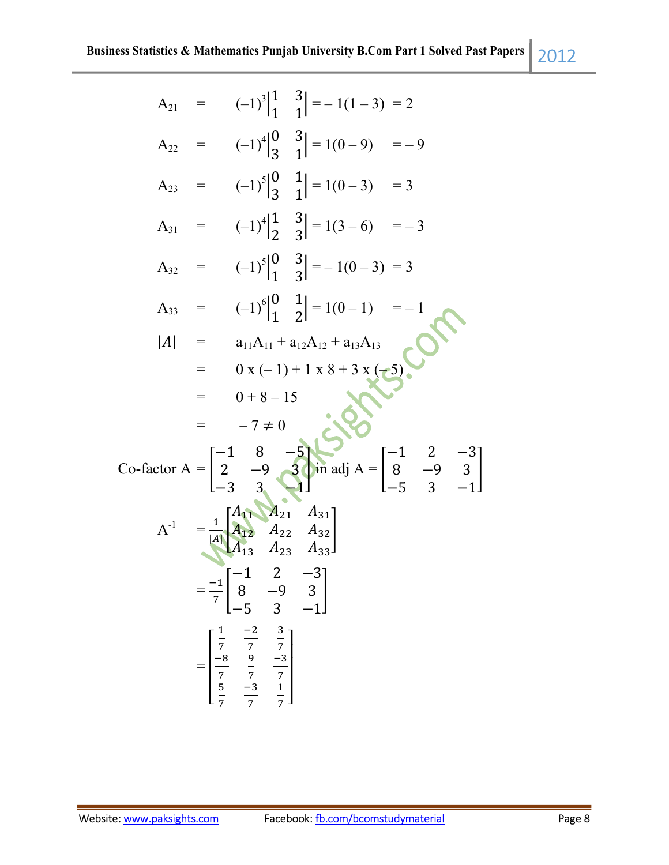|                                                            |                                                                                                                                                                     | $A_{21} = (-1)^3 \begin{vmatrix} 1 & 3 \\ 1 & 1 \end{vmatrix} = -1(1-3) = 2$                                                                                                                 |  |
|------------------------------------------------------------|---------------------------------------------------------------------------------------------------------------------------------------------------------------------|----------------------------------------------------------------------------------------------------------------------------------------------------------------------------------------------|--|
|                                                            |                                                                                                                                                                     | $A_{22} = (-1)^4 \begin{vmatrix} 0 & 3 \\ 3 & 1 \end{vmatrix} = 1(0-9) = -9$                                                                                                                 |  |
|                                                            |                                                                                                                                                                     | A <sub>23</sub> = $(-1)^5\begin{vmatrix} 0 & 1 \\ 3 & 1 \end{vmatrix} = 1(0-3) = 3$                                                                                                          |  |
|                                                            |                                                                                                                                                                     | $A_{31} = (-1)^4 \begin{vmatrix} 1 & 3 \\ 2 & 3 \end{vmatrix} = 1(3-6) = -3$                                                                                                                 |  |
|                                                            |                                                                                                                                                                     | A <sub>32</sub> = $(-1)^5\begin{vmatrix} 0 & 3 \\ 1 & 2 \end{vmatrix} = -1(0-3) = 3$                                                                                                         |  |
|                                                            |                                                                                                                                                                     | $A_{33} = (-1)^6 \begin{vmatrix} 0 & 1 \\ 1 & 2 \end{vmatrix} = 1(0-1) = -1$                                                                                                                 |  |
|                                                            |                                                                                                                                                                     | $ A $ = $a_{11}A_{11} + a_{12}A_{12} + a_{13}A_{13}$                                                                                                                                         |  |
|                                                            |                                                                                                                                                                     | $= 0 x (-1) + 1 x 8 + 3 x (-5)$<br>= 0 + 8 15                                                                                                                                                |  |
|                                                            | $= 0 + 8 - 15$                                                                                                                                                      |                                                                                                                                                                                              |  |
|                                                            | $=$ $-7 \neq 0$                                                                                                                                                     |                                                                                                                                                                                              |  |
|                                                            |                                                                                                                                                                     | $=$ $-7 \neq 0$<br>Co-factor A = $\begin{bmatrix} -1 & 8 & -5 \\ 2 & -9 & 3 \\ -3 & 3 & 1 \end{bmatrix}$ in adj A = $\begin{bmatrix} -1 & 2 & -3 \\ 8 & -9 & 3 \\ -5 & 3 & -1 \end{bmatrix}$ |  |
|                                                            | $A^{-1}$ = $\frac{1}{ A }\begin{bmatrix} A_{11} & A_{21} & A_{31} \\ A_{12} & A_{22} & A_{32} \\ A_{13} & A_{23} & A_{33} \end{bmatrix}$                            |                                                                                                                                                                                              |  |
| $=\frac{-1}{7}\begin{bmatrix} -1 \\ 8 \\ -5 \end{bmatrix}$ |                                                                                                                                                                     | $\begin{bmatrix} 2 & -3 \\ -9 & 3 \\ 3 & -1 \end{bmatrix}$                                                                                                                                   |  |
|                                                            | $= \begin{bmatrix} \frac{1}{7} & \frac{-2}{7} & \frac{3}{7} \\ \frac{-8}{7} & \frac{9}{7} & \frac{-3}{7} \\ \frac{5}{7} & \frac{-3}{7} & \frac{1}{7} \end{bmatrix}$ |                                                                                                                                                                                              |  |

൩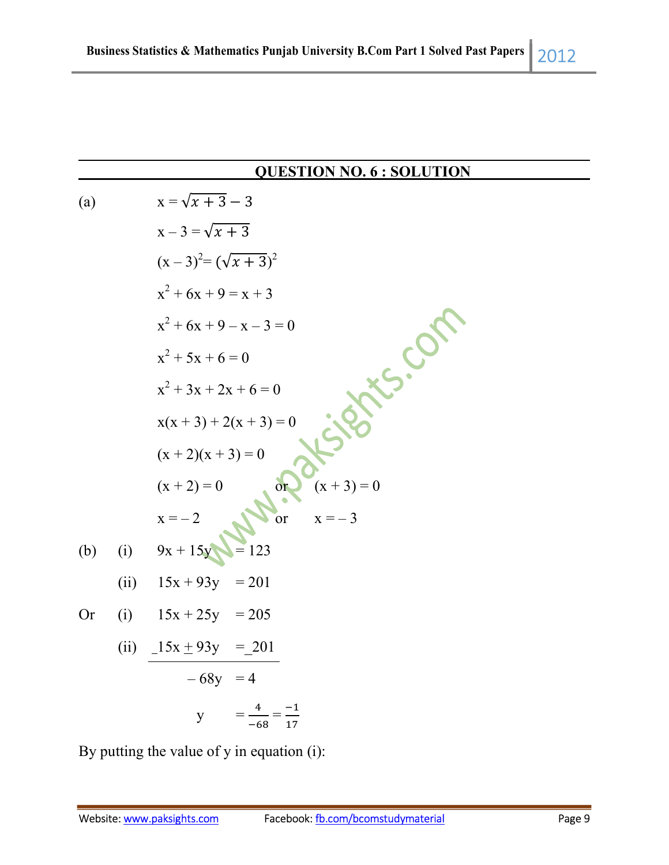#### QUESTION NO. 6 : SOLUTION

(a) 
$$
x = \sqrt{x + 3} - 3
$$
  
\n $x - 3 = \sqrt{x + 3}$   
\n $(x - 3)^2 = (\sqrt{x + 3})^2$   
\n $x^2 + 6x + 9 = x + 3$   
\n $x^2 + 6x + 9 - x - 3 = 0$   
\n $x^2 + 5x + 6 = 0$   
\n $x^2 + 3x + 2x + 6 = 0$   
\n $x(x + 3) + 2(x + 3) = 0$   
\n $(x + 2)(x + 3) = 0$   
\n $(x + 2)(x + 3) = 0$   
\n $(x + 2) = 0$   
\n $x = -2$   
\n(b) (i)  $9x + 15y = 123$   
\n(ii)  $15x + 93y = 201$   
\nOr (i)  $15x + 25y = 205$   
\n(ii)  $\frac{-15x \pm 93y}{-68y} = \frac{-201}{4}$   
\n $y = \frac{4}{-68} = \frac{-1}{17}$ 

By putting the value of y in equation (i):

l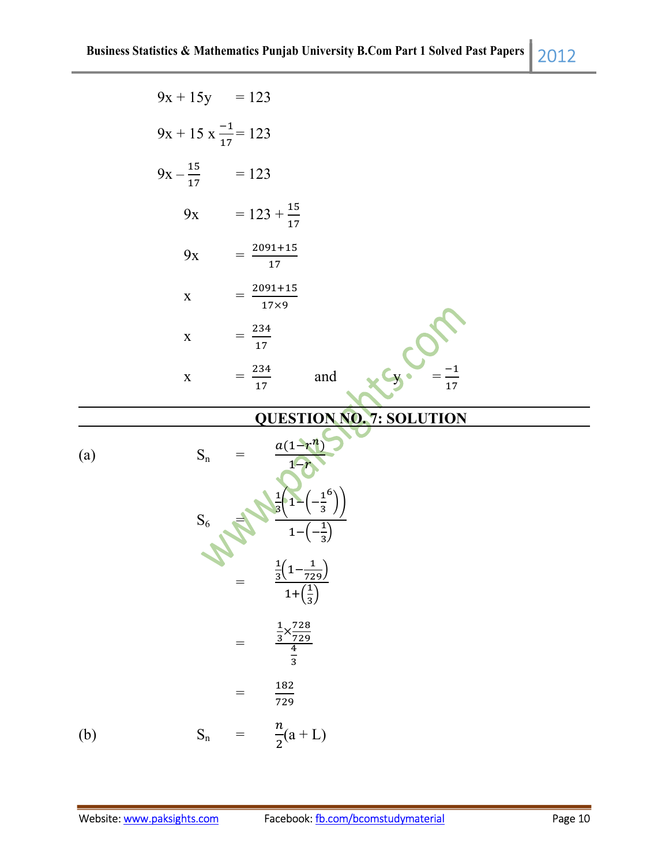|     | $9x + 15y = 123$               |                                                                                     |  |
|-----|--------------------------------|-------------------------------------------------------------------------------------|--|
|     | $9x + 15x \frac{-1}{17} = 123$ |                                                                                     |  |
|     | $9x - \frac{15}{17}$ = 123     |                                                                                     |  |
|     |                                | 9x = $123 + \frac{15}{17}$                                                          |  |
|     | $9x$                           | $=\frac{2091+15}{17}$                                                               |  |
|     | $\mathbf X$                    | $=\frac{2091+15}{17\times9}$                                                        |  |
|     | $\mathbf X$                    | $=\frac{234}{17}$                                                                   |  |
|     | $\mathbf X$                    | $=\frac{234}{17}$<br>and<br>17                                                      |  |
|     |                                | <b>QUESTION NO. 7: SOLUTION</b>                                                     |  |
| (a) | $\mathbf{S}_\mathrm{n}$        | $\frac{a(1-r^n)}{n}$                                                                |  |
|     | $S_6$                          | $-\frac{1^{6}}{3}$<br>$\frac{1}{3}$<br>$1 -$                                        |  |
|     |                                | $\frac{\frac{1}{3}\left(1-\frac{1}{729}\right)}{1+\left(\frac{1}{3}\right)}$<br>$=$ |  |
|     |                                | $rac{\frac{1}{3} \times \frac{728}{729}}{\frac{4}{3}}$<br>$=$                       |  |
|     |                                | $\frac{182}{729}$<br>$=$                                                            |  |
| (b) |                                | $S_n = \frac{n}{2}(a+L)$                                                            |  |